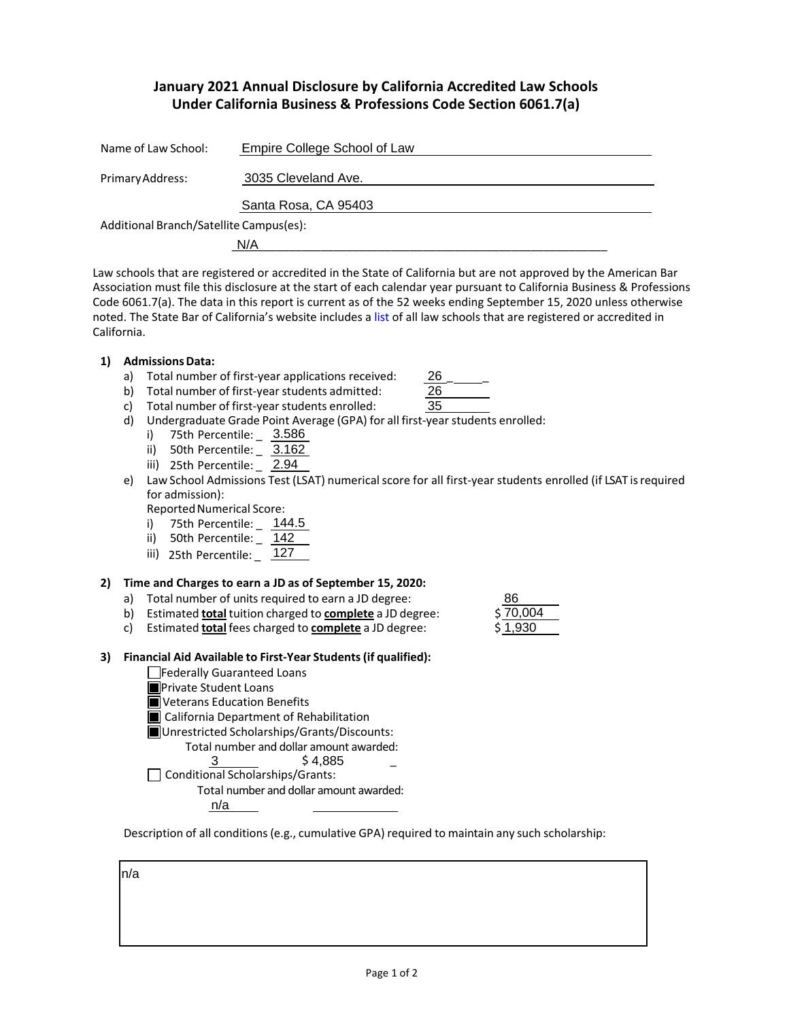# **January 2021 Annual Disclosure by California Accredited Law Schools Under California Business & Professions Code Section 6061.7(a)**

| Name of Law School:                     | Empire College School of Law |  |  |  |
|-----------------------------------------|------------------------------|--|--|--|
| Primary Address:                        | 3035 Cleveland Ave.          |  |  |  |
|                                         | Santa Rosa, CA 95403         |  |  |  |
| Additional Branch/Satellite Campus(es): |                              |  |  |  |
|                                         | N/A                          |  |  |  |

Law schools that are registered or accredited in the State of California but are not approved by the American Bar Association must file this disclosure at the start of each calendar year pursuant to California Business & Professions Code 6061.7(a). The data in this report is current as of the 52 weeks ending September 15, 2020 unless otherwise noted. The State Bar of California's website includes a [list](http://www.calbar.ca.gov/Admissions/Law-School-Regulation/Law-Schools) of all law schools that are registered or accredited in California.

- **1) AdmissionsData:**
	- a) Total number of first-year applications received:
	- b) Total number of first-year students admitted:

| :ived: | 26 |
|--------|----|
| d:     | 26 |
| ł:     | 35 |
|        |    |

- c) Total number of first-year students enrolled: d) Undergraduate Grade Point Average (GPA) for all first-year students enrolled:
	- i) 75th Percentile: \_ 3.586
	- ii) 50th Percentile: \_ 3.162
	- iii) 25th Percentile: \_ 2.94
- e) Law School Admissions Test (LSAT) numerical score for all first-year students enrolled (if LSAT is required for admission):

Reported Numerical Score:

- i) 75th Percentile: \_ 144.5
- ii) 50th Percentile: \_ 142
- iii) 25th Percentile: \_ 127

## **2) Time and Charges to earn a JD as of September 15, 2020:**

- a) Total number of units required to earn a JD degree:
- b) Estimated **total** tuition charged to **complete** a JD degree: \$
- c) Estimated **total** fees charged to **complete** a JD degree: \$

## **3) Financial Aid Available to First-Year Students(if qualified):**

- Federally Guaranteed Loans
- **Private Student Loans**
- **N** Veterans Education Benefits
- **California Department of Rehabilitation**
- Unrestricted Scholarships/Grants/Discounts:
	- Total number and dollar amount awarded:
		- $\frac{3}{5}$  \$4,885  $\frac{1}{5}$
- $\Box$  Conditional Scholarships/Grants:
	- Total number and dollar amount awarded:

n/a

Description of all conditions (e.g., cumulative GPA) required to maintain any such scholarship:

n/a

8670,004 1,930